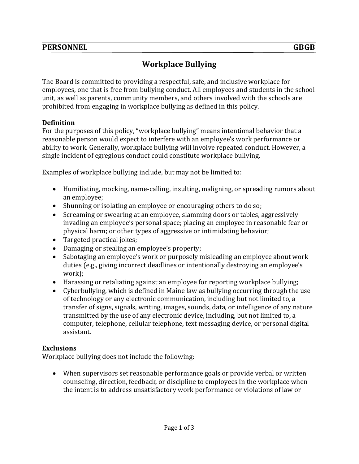# **PERSONNEL GBGB**

# **Workplace Bullying**

The Board is committed to providing a respectful, safe, and inclusive workplace for employees, one that is free from bullying conduct. All employees and students in the school unit, as well as parents, community members, and others involved with the schools are prohibited from engaging in workplace bullying as defined in this policy.

### **Definition**

For the purposes of this policy, "workplace bullying" means intentional behavior that a reasonable person would expect to interfere with an employee's work performance or ability to work. Generally, workplace bullying will involve repeated conduct. However, a single incident of egregious conduct could constitute workplace bullying.

Examples of workplace bullying include, but may not be limited to:

- Humiliating, mocking, name-calling, insulting, maligning, or spreading rumors about an employee;
- Shunning or isolating an employee or encouraging others to do so;
- Screaming or swearing at an employee, slamming doors or tables, aggressively invading an employee's personal space; placing an employee in reasonable fear or physical harm; or other types of aggressive or intimidating behavior;
- Targeted practical jokes;
- Damaging or stealing an employee's property;
- Sabotaging an employee's work or purposely misleading an employee about work duties (e.g., giving incorrect deadlines or intentionally destroying an employee's work);
- Harassing or retaliating against an employee for reporting workplace bullying;
- Cyberbullying, which is defined in Maine law as bullying occurring through the use of technology or any electronic communication, including but not limited to, a transfer of signs, signals, writing, images, sounds, data, or intelligence of any nature transmitted by the use of any electronic device, including, but not limited to, a computer, telephone, cellular telephone, text messaging device, or personal digital assistant.

### **Exclusions**

Workplace bullying does not include the following:

• When supervisors set reasonable performance goals or provide verbal or written counseling, direction, feedback, or discipline to employees in the workplace when the intent is to address unsatisfactory work performance or violations of law or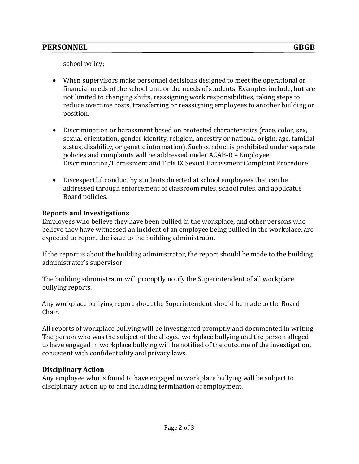school policy;

- When supervisors make personnel decisions designed to meet the operational or financial needs of the school unit or the needs of students. Examples include, but are not limited to changing shifts, reassigning work responsibilities, taking steps to reduce overtime costs, transferring or reassigning employees to another building or position.
- Discrimination or harassment based on protected characteristics (race, color, sex, sexual orientation, gender identity, religion, ancestry or national origin, age, familial status, disability, or genetic information). Such conduct is prohibited under separate policies and complaints will be addressed under ACAB-R – Employee Discrimination/Harassment and Title IX Sexual Harassment Complaint Procedure.
- Disrespectful conduct by students directed at school employees that can be addressed through enforcement of classroom rules, school rules, and applicable Board policies.

# **Reports and Investigations**

Employees who believe they have been bullied in the workplace, and other persons who believe they have witnessed an incident of an employee being bullied in the workplace, are expected to report the issue to the building administrator.

If the report is about the building administrator, the report should be made to the building administrator's supervisor.

The building administrator will promptly notify the Superintendent of all workplace bullying reports.

Any workplace bullying report about the Superintendent should be made to the Board Chair.

All reports of workplace bullying will be investigated promptly and documented in writing. The person who was the subject of the alleged workplace bullying and the person alleged to have engaged in workplace bullying will be notified of the outcome of the investigation, consistent with confidentiality and privacy laws.

# **Disciplinary Action**

Any employee who is found to have engaged in workplace bullying will be subject to disciplinary action up to and including termination of employment.